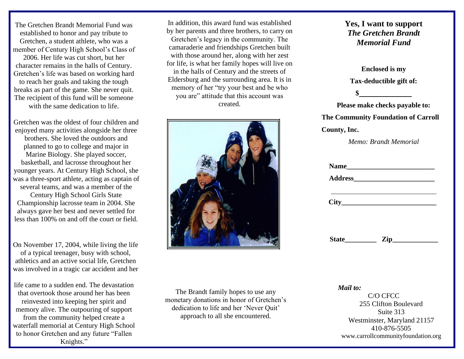The Gretchen Brandt Memorial Fund was established to honor and pay tribute to Gretchen, a student athlete, who was a member of Century High School's Class of

2006. Her life was cut short, but her character remains in the halls of Century. Gretchen's life was based on working hard to reach her goals and taking the tough breaks as part of the game. She never quit. The recipient of this fund will be someone with the same dedication to life.

Gretchen was the oldest of four children and enjoyed many activities alongside her three brothers. She loved the outdoors and planned to go to college and major in Marine Biology. She played soccer, basketball, and lacrosse throughout her younger years. At Century High School, she was a three-sport athlete, acting as captain of several teams, and was a member of the Century High School Girls State Championship lacrosse team in 2004. She always gave her best and never settled for

On November 17, 2004, while living the life of a typical teenager, busy with school, athletics and an active social life, Gretchen was involved in a tragic car accident and her

less than 100% on and off the court or field.

life came to a sudden end. The devastation that overtook those around her has been reinvested into keeping her spirit and memory alive. The outpouring of support from the community helped create a waterfall memorial at Century High School to honor Gretchen and any future "Fallen Knights."

In addition, this award fund was established by her parents and three brothers, to carry on Gretchen's legacy in the community. The camaraderie and friendships Gretchen built with those around her, along with her zest for life, is what her family hopes will live on in the halls of Century and the streets of Eldersburg and the surrounding area. It is in memory of her "try your best and be who you are" attitude that this account was created.



The Brandt family hopes to use any monetary donations in honor of Gretchen's dedication to life and her 'Never Quit' approach to all she encountered.

#### **Yes, I want to support** *The Gretchen Brandt Memorial Fund*

**Enclosed is my Tax-deductible gift of:**

**Please make checks payable to: The Community Foundation of Carroll County, Inc.**

**\$**

*Memo: Brandt Memorial*

|              | Name |                                        |
|--------------|------|----------------------------------------|
| City         |      |                                        |
|              |      |                                        |
| <b>State</b> | Zip  | <u> 1989 - Johann Maria Barbara, m</u> |

*Mail to:*

C/O CFCC 255 Clifton Boulevard Suite 313 Westminster, Maryland 21157 410-876-5505 [www.carrollcommunityfoundation.org](http://www.carrollcommunityfoundation.org/)